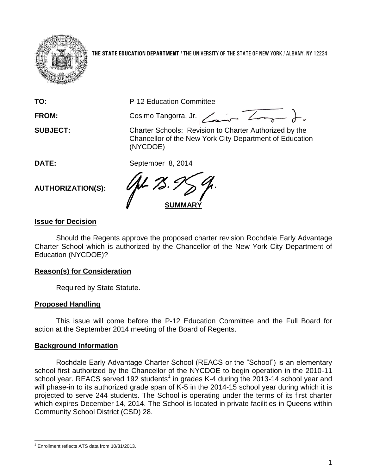

**THE STATE EDUCATION DEPARTMENT** / THE UNIVERSITY OF THE STATE OF NEW YORK / ALBANY, NY 12234

**TO:** P-12 Education Committee

FROM: Cosimo Tangorra, Jr. <u>Cosina Zongara</u>

**SUBJECT:** Charter Schools: Revision to Charter Authorized by the Chancellor of the New York City Department of Education (NYCDOE)

**DATE:** September 8, 2014

**AUTHORIZATION(S):**

**SUMMARY**

# **Issue for Decision**

Should the Regents approve the proposed charter revision Rochdale Early Advantage Charter School which is authorized by the Chancellor of the New York City Department of Education (NYCDOE)?

## **Reason(s) for Consideration**

Required by State Statute.

## **Proposed Handling**

This issue will come before the P-12 Education Committee and the Full Board for action at the September 2014 meeting of the Board of Regents.

## **Background Information**

Rochdale Early Advantage Charter School (REACS or the "School") is an elementary school first authorized by the Chancellor of the NYCDOE to begin operation in the 2010-11 school year. REACS served 192 students<sup>1</sup> in grades K-4 during the 2013-14 school year and will phase-in to its authorized grade span of K-5 in the 2014-15 school year during which it is projected to serve 244 students. The School is operating under the terms of its first charter which expires December 14, 2014. The School is located in private facilities in Queens within Community School District (CSD) 28.

l  $1$  Enrollment reflects ATS data from 10/31/2013.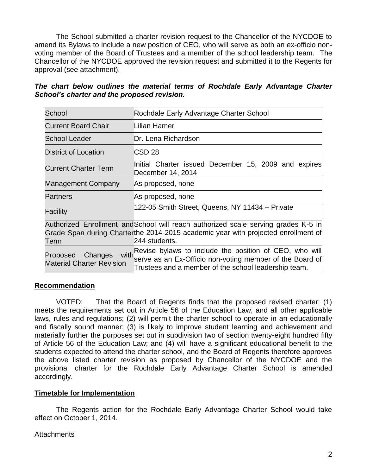The School submitted a charter revision request to the Chancellor of the NYCDOE to amend its Bylaws to include a new position of CEO, who will serve as both an ex-officio nonvoting member of the Board of Trustees and a member of the school leadership team. The Chancellor of the NYCDOE approved the revision request and submitted it to the Regents for approval (see attachment).

*The chart below outlines the material terms of Rochdale Early Advantage Charter School's charter and the proposed revision.*

| School                                                  | Rochdale Early Advantage Charter School                                                                                                                                                       |  |  |  |  |
|---------------------------------------------------------|-----------------------------------------------------------------------------------------------------------------------------------------------------------------------------------------------|--|--|--|--|
| <b>Current Board Chair</b>                              | Lilian Hamer                                                                                                                                                                                  |  |  |  |  |
| <b>School Leader</b>                                    | Dr. Lena Richardson                                                                                                                                                                           |  |  |  |  |
| <b>District of Location</b>                             | CSD <sub>28</sub>                                                                                                                                                                             |  |  |  |  |
| <b>Current Charter Term</b>                             | Initial Charter issued December 15, 2009 and expires<br>December 14, 2014                                                                                                                     |  |  |  |  |
| <b>Management Company</b>                               | As proposed, none                                                                                                                                                                             |  |  |  |  |
| <b>Partners</b>                                         | As proposed, none                                                                                                                                                                             |  |  |  |  |
| Facility                                                | 122-05 Smith Street, Queens, NY 11434 - Private                                                                                                                                               |  |  |  |  |
| Term                                                    | Authorized Enrollment and School will reach authorized scale serving grades K-5 in<br>Grade Span during Charter the 2014-2015 academic year with projected enrollment of<br>244 students.     |  |  |  |  |
| Proposed<br>Changes<br><b>Material Charter Revision</b> | with Revise bylaws to include the position of $\overline{CEO}$ , who will<br>serve as an Ex-Officio non-voting member of the Board of<br>Trustees and a member of the school leadership team. |  |  |  |  |

## **Recommendation**

VOTED: That the Board of Regents finds that the proposed revised charter: (1) meets the requirements set out in Article 56 of the Education Law, and all other applicable laws, rules and regulations; (2) will permit the charter school to operate in an educationally and fiscally sound manner; (3) is likely to improve student learning and achievement and materially further the purposes set out in subdivision two of section twenty-eight hundred fifty of Article 56 of the Education Law; and (4) will have a significant educational benefit to the students expected to attend the charter school, and the Board of Regents therefore approves the above listed charter revision as proposed by Chancellor of the NYCDOE and the provisional charter for the Rochdale Early Advantage Charter School is amended accordingly.

## **Timetable for Implementation**

The Regents action for the Rochdale Early Advantage Charter School would take effect on October 1, 2014.

## **Attachments**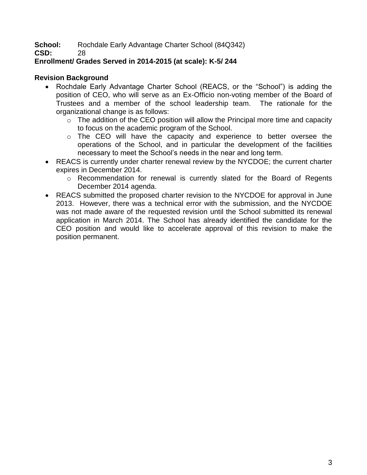**School:** Rochdale Early Advantage Charter School (84Q342)

**CSD:** 28

# **Enrollment/ Grades Served in 2014-2015 (at scale): K-5/ 244**

# **Revision Background**

- Rochdale Early Advantage Charter School (REACS, or the "School") is adding the position of CEO, who will serve as an Ex-Officio non-voting member of the Board of Trustees and a member of the school leadership team. The rationale for the organizational change is as follows:
	- $\circ$  The addition of the CEO position will allow the Principal more time and capacity to focus on the academic program of the School.
	- o The CEO will have the capacity and experience to better oversee the operations of the School, and in particular the development of the facilities necessary to meet the School's needs in the near and long term.
- REACS is currently under charter renewal review by the NYCDOE; the current charter expires in December 2014.
	- o Recommendation for renewal is currently slated for the Board of Regents December 2014 agenda.
- REACS submitted the proposed charter revision to the NYCDOE for approval in June 2013. However, there was a technical error with the submission, and the NYCDOE was not made aware of the requested revision until the School submitted its renewal application in March 2014. The School has already identified the candidate for the CEO position and would like to accelerate approval of this revision to make the position permanent.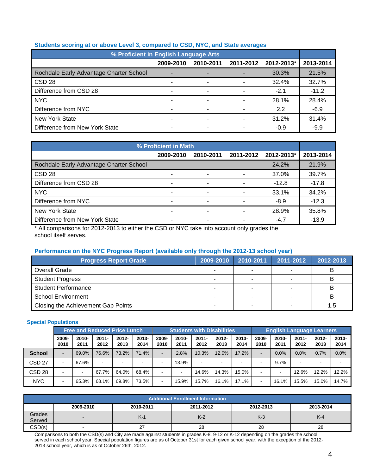| % Proficient in English Language Arts   |           |                          |           |            |           |  |  |  |
|-----------------------------------------|-----------|--------------------------|-----------|------------|-----------|--|--|--|
|                                         | 2009-2010 | 2010-2011                | 2011-2012 | 2012-2013* | 2013-2014 |  |  |  |
| Rochdale Early Advantage Charter School | -         |                          |           | 30.3%      | 21.5%     |  |  |  |
| CSD <sub>28</sub>                       | ٠         | ۰                        |           | 32.4%      | 32.7%     |  |  |  |
| Difference from CSD 28                  | ۰         | $\overline{\phantom{0}}$ |           | $-2.1$     | $-11.2$   |  |  |  |
| <b>NYC</b>                              | ۰         |                          |           | 28.1%      | 28.4%     |  |  |  |
| Difference from NYC                     | ۰         | ۰                        |           | 2.2        | $-6.9$    |  |  |  |
| New York State                          |           |                          |           | 31.2%      | 31.4%     |  |  |  |
| Difference from New York State          |           |                          |           | $-0.9$     | $-9.9$    |  |  |  |

#### **Students scoring at or above Level 3, compared to CSD, NYC, and State averages**

| % Proficient in Math                    |                          |           |           |            |           |  |  |
|-----------------------------------------|--------------------------|-----------|-----------|------------|-----------|--|--|
|                                         | 2009-2010                | 2010-2011 | 2011-2012 | 2012-2013* | 2013-2014 |  |  |
| Rochdale Early Advantage Charter School |                          |           |           | 24.2%      | 21.9%     |  |  |
| CSD <sub>28</sub>                       | ٠                        |           |           | 37.0%      | 39.7%     |  |  |
| Difference from CSD 28                  |                          |           |           | $-12.8$    | $-17.8$   |  |  |
| <b>NYC</b>                              | $\overline{\phantom{0}}$ |           |           | 33.1%      | 34.2%     |  |  |
| Difference from NYC                     | ۰                        |           |           | $-8.9$     | $-12.3$   |  |  |
| <b>New York State</b>                   | -                        |           |           | 28.9%      | 35.8%     |  |  |
| Difference from New York State          | $\overline{\phantom{0}}$ |           |           | $-4.7$     | $-13.9$   |  |  |

\* All comparisons for 2012-2013 to either the CSD or NYC take into account only grades the school itself serves.

#### **Performance on the NYC Progress Report (available only through the 2012-13 school year)**

| <b>Progress Report Grade</b>       | 2009-2010                | 2010-2011 | 2011-2012 | 2012-2013 |
|------------------------------------|--------------------------|-----------|-----------|-----------|
| Overall Grade                      |                          |           |           |           |
| <b>Student Progress</b>            | $\overline{\phantom{0}}$ |           |           |           |
| <b>Student Performance</b>         | $\overline{\phantom{a}}$ |           |           |           |
| <b>School Environment</b>          | $\overline{\phantom{a}}$ |           |           |           |
| Closing the Achievement Gap Points |                          |           |           | 1.5       |

#### **Special Populations**

|                   | <b>Free and Reduced Price Lunch</b> |                  |                  |                  | <b>Students with Disabilities</b> |                          |                          |                          | <b>English Language Learners</b> |                  |                          |                  |                  |                  |                  |
|-------------------|-------------------------------------|------------------|------------------|------------------|-----------------------------------|--------------------------|--------------------------|--------------------------|----------------------------------|------------------|--------------------------|------------------|------------------|------------------|------------------|
|                   | 2009-<br>2010                       | $2010 -$<br>2011 | $2011 -$<br>2012 | $2012 -$<br>2013 | $2013 -$<br>2014                  | 2009-<br>2010            | $2010 -$<br>2011         | $2011 -$<br>2012         | $2012 -$<br>2013                 | $2013 -$<br>2014 | 2009-<br>2010            | $2010 -$<br>2011 | $2011 -$<br>2012 | $2012 -$<br>2013 | $2013 -$<br>2014 |
| <b>School</b>     | $\overline{\phantom{0}}$            | 69.0%            | 76.6%            | 73.2%            | 71.4%                             | $\blacksquare$           | 2.8%                     | 10.3%                    | 12.0%                            | 17.2%            | $\sim$                   | 0.0%             | 0.0%             | 0.7%             | 0.0%             |
| CSD <sub>27</sub> |                                     | 67.6%            |                  |                  |                                   |                          | 13.9%                    | $\overline{\phantom{a}}$ |                                  |                  |                          | 9.7%             |                  |                  |                  |
| CSD <sub>28</sub> |                                     | -                | 67.7%            | 64.0%            | 68.4%                             | $\overline{\phantom{0}}$ | $\overline{\phantom{0}}$ | 14.6%                    | 14.3%                            | 15.0%            | -                        |                  | 12.6%            | 12.2%            | 12.2%            |
| <b>NYC</b>        |                                     | 65.3%            | 68.1%            | 69.8%            | 73.5%                             | $\overline{\phantom{0}}$ | 15.9%                    | 15.7%                    | 16.1%                            | 17.1%            | $\overline{\phantom{0}}$ | 16.1%            | 15.5%            | 15.0%            | 14.7%            |

| <b>Additional Enrollment Information</b> |                                                               |          |       |       |       |  |  |  |  |  |
|------------------------------------------|---------------------------------------------------------------|----------|-------|-------|-------|--|--|--|--|--|
|                                          | 2009-2010<br>2010-2011<br>2011-2012<br>2013-2014<br>2012-2013 |          |       |       |       |  |  |  |  |  |
| Grades<br>Served                         | $\overline{\phantom{a}}$                                      | $K-1$    | $K-2$ | $K-3$ | $K-4$ |  |  |  |  |  |
| CSD(s)                                   | $\overline{\phantom{a}}$                                      | ົ<br>. . | 28    | 28    | 28    |  |  |  |  |  |

Comparisons to both the CSD(s) and City are made against students in grades K-8, 9-12 or K-12 depending on the grades the school served in each school year. Special population figures are as of October 31st for each given school year, with the exception of the 2012- 2013 school year, which is as of October 26th, 2012.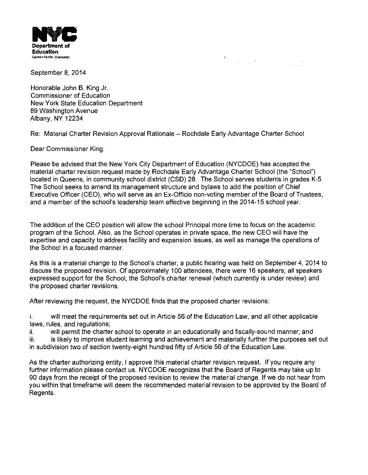

 $\label{eq:2.1} \frac{1}{\sqrt{2}}\int_{\mathbb{R}^3}\frac{1}{\sqrt{2}}\left(\frac{1}{\sqrt{2}}\right)^2\frac{1}{\sqrt{2}}\left(\frac{1}{\sqrt{2}}\right)^2\frac{1}{\sqrt{2}}\left(\frac{1}{\sqrt{2}}\right)^2\frac{1}{\sqrt{2}}\left(\frac{1}{\sqrt{2}}\right)^2\frac{1}{\sqrt{2}}\left(\frac{1}{\sqrt{2}}\right)^2\frac{1}{\sqrt{2}}\left(\frac{1}{\sqrt{2}}\right)^2\frac{1}{\sqrt{2}}\left(\frac{1}{\sqrt{2}}\right)^2\frac{1}{\sqrt{$ 

September 8, 2014

Honorable John B. King Jr. Commissioner of Education New York State Education Department 89 Washington Avenue Albany, NY 12234

Re: Material Charter Revision Approval Rationale - Rochdale Early Advantage Charter School

Dear Commissioner King:

Please be advised that the New York City Department of Education (NYCDOE) has accepted the material charter revision request made by Rochdale Early Advantage Charter School (the "School") located in Queens, in community school district (CSD) 28. The School serves students in grades K-5. The School seeks to amend its management structure and bylaws to add the position of Chief Executive Officer (CEO), who will serve as an Ex-Officio non-voting member of the Board of Trustees, and a member of the school's leadership team effective beginning in the 2014-15 school year.

The addition of the CEO position will allow the school Principal more time to focus on the academic program of the School. Also, as the School operates in private space, the new CEO will have the expertise and capacity to address facility and expansion issues, as well as manage the operations of the School in a focused manner.

As this is a material change to the School's charter, a public hearing was held on September 4, 2014 to discuss the proposed revision. Of approximately 100 attendees, there were 16 speakers; all speakers expressed support for the School, the School's charter renewal (which currently is under review) and the proposed charter revisions.

After reviewing the request, the NYCDOE finds that the proposed charter revisions:

i. will meet the requirements set out in Article 56 of the Education Law, and all other applicable laws, rules, and regulations;

ii. will permit the charter school to operate in an educationally and fiscally-sound manner; and iii. is likely to improve student learning and achievement and materially further the purposes set out in subdivision two of section twenty-eight hundred fifty of Article 56 of the Education Law.

As the charter authorizing entity, I approve this material charter revision request. If you require any further information please contact us. NYCDOE recognizes that the Board of Regents may take up to 90 days from the receipt of the proposed revision to review the material change. If we do not hear from you within that timeframe will deem the recommended material revision to be approved by the Board of Regents.